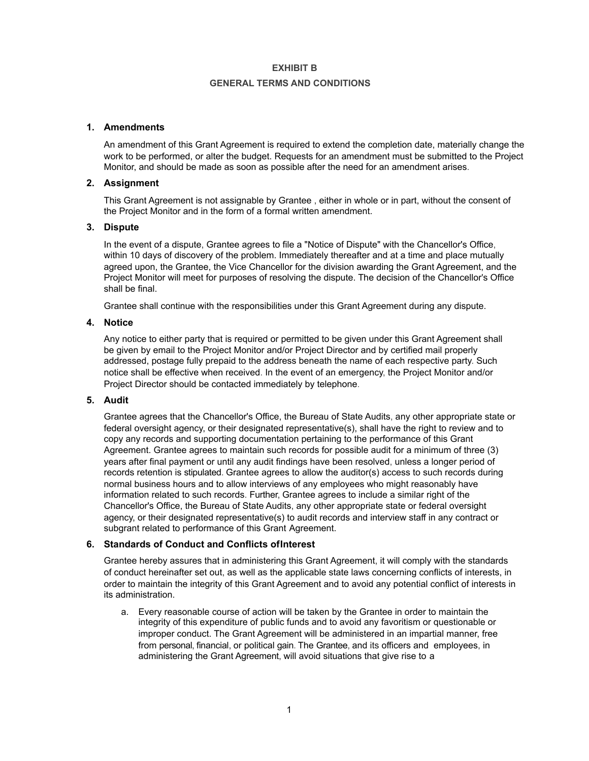## **GENERAL TERMS AND CONDITIONS**

# **1. Amendments**

An amendment of this Grant Agreement is required to extend the completion date, materially change the work to be performed, or alter the budget. Requests for an amendment must be submitted to the Project Monitor, and should be made as soon as possible after the need for an amendment arises.

## **2. Assignment**

This Grant Agreement is not assignable by Grantee , either in whole or in part, without the consent of the Project Monitor and in the form of a formal written amendment.

# **3. Dispute**

In the event of a dispute, Grantee agrees to file a "Notice of Dispute" with the Chancellor's Office, within 10 days of discovery of the problem. Immediately thereafter and at a time and place mutually agreed upon, the Grantee, the Vice Chancellor for the division awarding the Grant Agreement, and the Project Monitor will meet for purposes of resolving the dispute. The decision of the Chancellor's Office shall be final.

Grantee shall continue with the responsibilities under this Grant Agreement during any dispute.

## **4. Notice**

Any notice to either party that is required or permitted to be given under this Grant Agreement shall be given by email to the Project Monitor and/or Project Director and by certified mail properly addressed, postage fully prepaid to the address beneath the name of each respective party. Such notice shall be effective when received. In the event of an emergency, the Project Monitor and/or Project Director should be contacted immediately by telephone.

#### **5. Audit**

Grantee agrees that the Chancellor's Office, the Bureau of State Audits, any other appropriate state or federal oversight agency, or their designated representative(s), shall have the right to review and to copy any records and supporting documentation pertaining to the performance of this Grant Agreement. Grantee agrees to maintain such records for possible audit for a minimum of three (3) years after final payment or until any audit findings have been resolved, unless a longer period of records retention is stipulated. Grantee agrees to allow the auditor(s) access to such records during normal business hours and to allow interviews of any employees who might reasonably have information related to such records. Further, Grantee agrees to include a similar right of the Chancellor's Office, the Bureau of State Audits, any other appropriate state or federal oversight agency, or their designated representative(s) to audit records and interview staff in any contract or subgrant related to performance of this Grant Agreement.

## **6. Standards of Conduct and Conflicts ofInterest**

Grantee hereby assures that in administering this Grant Agreement, it will comply with the standards of conduct hereinafter set out, as well as the applicable state laws concerning conflicts of interests, in order to maintain the integrity of this Grant Agreement and to avoid any potential conflict of interests in its administration.

a. Every reasonable course of action will be taken by the Grantee in order to maintain the integrity of this expenditure of public funds and to avoid any favoritism or questionable or improper conduct. The Grant Agreement will be administered in an impartial manner, free from personal, financial, or political gain. The Grantee, and its officers and employees, in administering the Grant Agreement, will avoid situations that give rise to a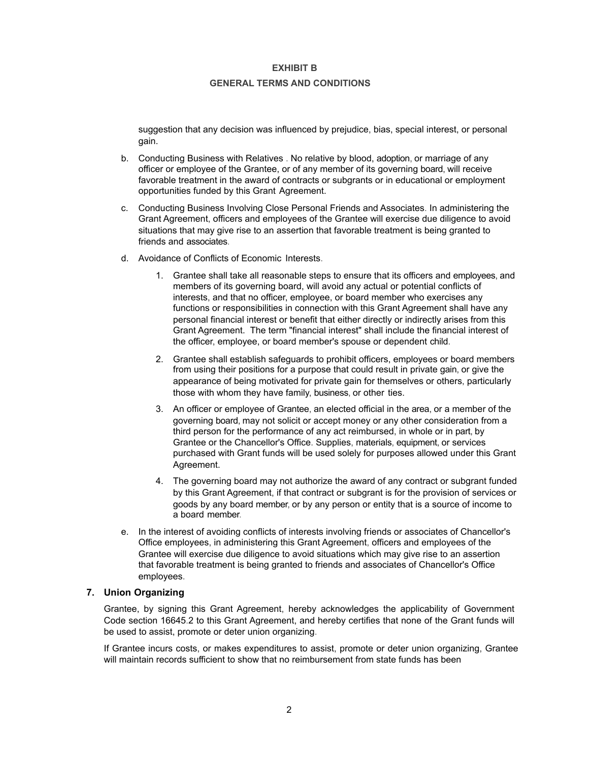#### **GENERAL TERMS AND CONDITIONS**

suggestion that any decision was influenced by prejudice, bias, special interest, or personal gain.

- b. Conducting Business with Relatives . No relative by blood, adoption, or marriage of any officer or employee of the Grantee, or of any member of its governing board, will receive favorable treatment in the award of contracts or subgrants or in educational or employment opportunities funded by this Grant Agreement.
- c. Conducting Business Involving Close Personal Friends and Associates. In administering the Grant Agreement, officers and employees of the Grantee will exercise due diligence to avoid situations that may give rise to an assertion that favorable treatment is being granted to friends and associates.
- d. Avoidance of Conflicts of Economic Interests.
	- 1. Grantee shall take all reasonable steps to ensure that its officers and employees, and members of its governing board, will avoid any actual or potential conflicts of interests, and that no officer, employee, or board member who exercises any functions or responsibilities in connection with this Grant Agreement shall have any personal financial interest or benefit that either directly or indirectly arises from this Grant Agreement. The term "financial interest" shall include the financial interest of the officer, employee, or board member's spouse or dependent child.
	- 2. Grantee shall establish safeguards to prohibit officers, employees or board members from using their positions for a purpose that could result in private gain, or give the appearance of being motivated for private gain for themselves or others, particularly those with whom they have family, business, or other ties.
	- 3. An officer or employee of Grantee, an elected official in the area, or a member of the governing board, may not solicit or accept money or any other consideration from a third person for the performance of any act reimbursed, in whole or in part, by Grantee or the Chancellor's Office. Supplies, materials, equipment, or services purchased with Grant funds will be used solely for purposes allowed under this Grant Agreement.
	- 4. The governing board may not authorize the award of any contract or subgrant funded by this Grant Agreement, if that contract or subgrant is for the provision of services or goods by any board member, or by any person or entity that is a source of income to a board member.
- e. In the interest of avoiding conflicts of interests involving friends or associates of Chancellor's Office employees, in administering this Grant Agreement, officers and employees of the Grantee will exercise due diligence to avoid situations which may give rise to an assertion that favorable treatment is being granted to friends and associates of Chancellor's Office employees.

# **7. Union Organizing**

Grantee, by signing this Grant Agreement, hereby acknowledges the applicability of Government Code section 16645.2 to this Grant Agreement, and hereby certifies that none of the Grant funds will be used to assist, promote or deter union organizing.

If Grantee incurs costs, or makes expenditures to assist, promote or deter union organizing, Grantee will maintain records sufficient to show that no reimbursement from state funds has been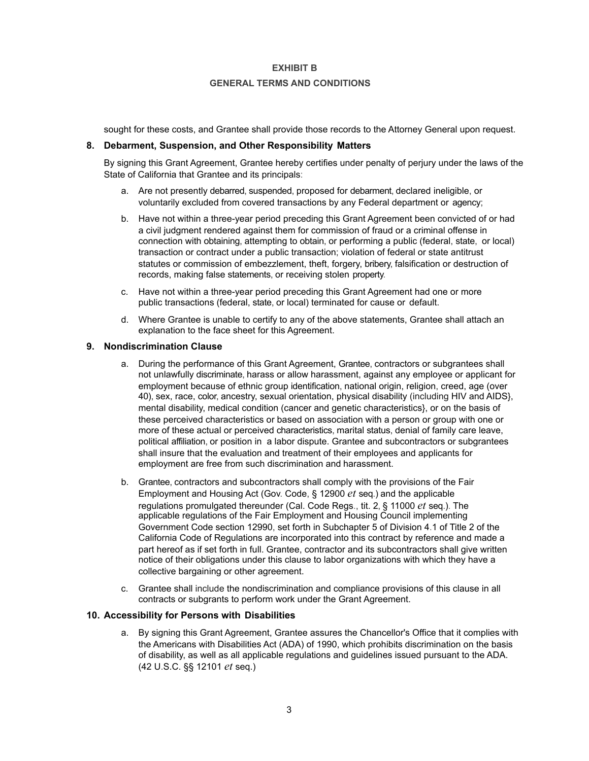## **GENERAL TERMS AND CONDITIONS**

sought for these costs, and Grantee shall provide those records to the Attorney General upon request.

## **8. Debarment, Suspension, and Other Responsibility Matters**

By signing this Grant Agreement, Grantee hereby certifies under penalty of perjury under the laws of the State of California that Grantee and its principals:

- a. Are not presently debarred, suspended, proposed for debarment, declared ineligible, or voluntarily excluded from covered transactions by any Federal department or agency;
- b. Have not within a three-year period preceding this Grant Agreement been convicted of or had a civil judgment rendered against them for commission of fraud or a criminal offense in connection with obtaining, attempting to obtain, or performing a public (federal, state, or local) transaction or contract under a public transaction; violation of federal or state antitrust statutes or commission of embezzlement, theft, forgery, bribery, falsification or destruction of records, making false statements, or receiving stolen property.
- c. Have not within a three-year period preceding this Grant Agreement had one or more public transactions (federal, state, or local) terminated for cause or default.
- d. Where Grantee is unable to certify to any of the above statements, Grantee shall attach an explanation to the face sheet for this Agreement.

## **9. Nondiscrimination Clause**

- a. During the performance of this Grant Agreement, Grantee, contractors or subgrantees shall not unlawfully discriminate, harass or allow harassment, against any employee or applicant for employment because of ethnic group identification, national origin, religion, creed, age (over 40), sex, race, color, ancestry, sexual orientation, physical disability (including HIV and AIDS}, mental disability, medical condition (cancer and genetic characteristics}, or on the basis of these perceived characteristics or based on association with a person or group with one or more of these actual or perceived characteristics, marital status, denial of family care leave, political affiliation, or position in a labor dispute. Grantee and subcontractors or subgrantees shall insure that the evaluation and treatment of their employees and applicants for employment are free from such discrimination and harassment.
- b. Grantee, contractors and subcontractors shall comply with the provisions of the Fair Employment and Housing Act (Gov. Code, § 12900 *et* seq.) and the applicable regulations promulgated thereunder (Cal. Code Regs., tit. 2, § 11000 *et* seq.). The applicable regulations of the Fair Employment and Housing Council implementing Government Code section 12990, set forth in Subchapter 5 of Division 4.1 of Title 2 of the California Code of Regulations are incorporated into this contract by reference and made a part hereof as if set forth in full. Grantee, contractor and its subcontractors shall give written notice of their obligations under this clause to labor organizations with which they have a collective bargaining or other agreement.
- c. Grantee shall include the nondiscrimination and compliance provisions of this clause in all contracts or subgrants to perform work under the Grant Agreement.

#### **10. Accessibility for Persons with Disabilities**

a. By signing this Grant Agreement, Grantee assures the Chancellor's Office that it complies with the Americans with Disabilities Act (ADA) of 1990, which prohibits discrimination on the basis of disability, as well as all applicable regulations and guidelines issued pursuant to the ADA. (42 U.S.C. §§ 12101 *et* seq.)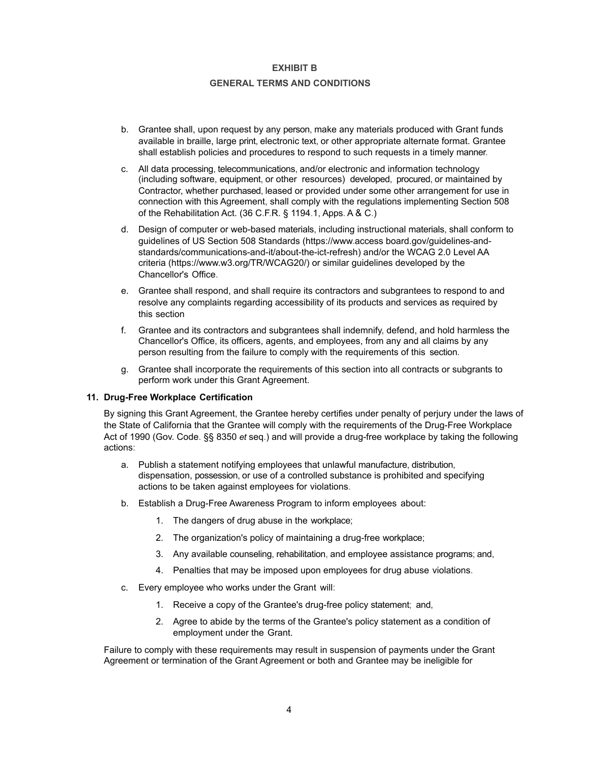## **GENERAL TERMS AND CONDITIONS**

- b. Grantee shall, upon request by any person, make any materials produced with Grant funds available in braille, large print, electronic text, or other appropriate alternate format. Grantee shall establish policies and procedures to respond to such requests in a timely manner.
- c. All data processing, telecommunications, and/or electronic and information technology (including software, equipment, or other resources) developed, procured, or maintained by Contractor, whether purchased, leased or provided under some other arrangement for use in connection with this Agreement, shall comply with the regulations implementing Section 508 of the Rehabilitation Act. (36 C.F.R. § 1194.1, Apps. A & C.)
- d. Design of computer or web-based materials, including instructional materials, shall conform to guidelines of US Section 508 Standards (https://www.access board.gov/guidelines-andstandards/communications-and-it/about-the-ict-refresh) and/or the WCAG 2.0 Level AA criteria [\(https://www.w3.org/TR/WCAG20/](http://www.w3.org/TR/WCAG20/))) or similar guidelines developed by the Chancellor's Office.
- e. Grantee shall respond, and shall require its contractors and subgrantees to respond to and resolve any complaints regarding accessibility of its products and services as required by this section
- f. Grantee and its contractors and subgrantees shall indemnify, defend, and hold harmless the Chancellor's Office, its officers, agents, and employees, from any and all claims by any person resulting from the failure to comply with the requirements of this section.
- g. Grantee shall incorporate the requirements of this section into all contracts or subgrants to perform work under this Grant Agreement.

#### **11. Drug-Free Workplace Certification**

By signing this Grant Agreement, the Grantee hereby certifies under penalty of perjury under the laws of the State of California that the Grantee will comply with the requirements of the Drug-Free Workplace Act of 1990 (Gov. Code. §§ 8350 *et* seq.) and will provide a drug-free workplace by taking the following actions:

- a. Publish a statement notifying employees that unlawful manufacture, distribution, dispensation, possession, or use of a controlled substance is prohibited and specifying actions to be taken against employees for violations.
- b. Establish a Drug-Free Awareness Program to inform employees about:
	- 1. The dangers of drug abuse in the workplace;
	- 2. The organization's policy of maintaining a drug-free workplace;
	- 3. Any available counseling, rehabilitation, and employee assistance programs; and,
	- 4. Penalties that may be imposed upon employees for drug abuse violations.
- c. Every employee who works under the Grant will:
	- 1. Receive a copy of the Grantee's drug-free policy statement; and,
	- 2. Agree to abide by the terms of the Grantee's policy statement as a condition of employment under the Grant.

Failure to comply with these requirements may result in suspension of payments under the Grant Agreement or termination of the Grant Agreement or both and Grantee may be ineligible for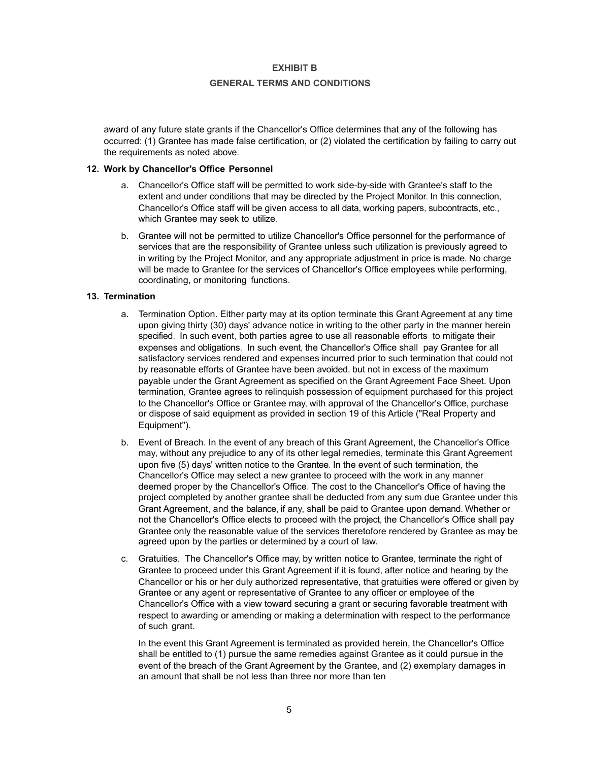## **GENERAL TERMS AND CONDITIONS**

award of any future state grants if the Chancellor's Office determines that any of the following has occurred: (1) Grantee has made false certification, or (2) violated the certification by failing to carry out the requirements as noted above.

## **12. Work by Chancellor's Office Personnel**

- a. Chancellor's Office staff will be permitted to work side-by-side with Grantee's staff to the extent and under conditions that may be directed by the Project Monitor. In this connection, Chancellor's Office staff will be given access to all data, working papers, subcontracts, etc., which Grantee may seek to utilize.
- b. Grantee will not be permitted to utilize Chancellor's Office personnel for the performance of services that are the responsibility of Grantee unless such utilization is previously agreed to in writing by the Project Monitor, and any appropriate adjustment in price is made. No charge will be made to Grantee for the services of Chancellor's Office employees while performing, coordinating, or monitoring functions.

## **13. Termination**

- a. Termination Option. Either party may at its option terminate this Grant Agreement at any time upon giving thirty (30) days' advance notice in writing to the other party in the manner herein specified. In such event, both parties agree to use all reasonable efforts to mitigate their expenses and obligations. In such event, the Chancellor's Office shall pay Grantee for all satisfactory services rendered and expenses incurred prior to such termination that could not by reasonable efforts of Grantee have been avoided, but not in excess of the maximum payable under the Grant Agreement as specified on the Grant Agreement Face Sheet. Upon termination, Grantee agrees to relinquish possession of equipment purchased for this project to the Chancellor's Office or Grantee may, with approval of the Chancellor's Office, purchase or dispose of said equipment as provided in section 19 of this Article ("Real Property and Equipment").
- b. Event of Breach. In the event of any breach of this Grant Agreement, the Chancellor's Office may, without any prejudice to any of its other legal remedies, terminate this Grant Agreement upon five (5) days' written notice to the Grantee. In the event of such termination, the Chancellor's Office may select a new grantee to proceed with the work in any manner deemed proper by the Chancellor's Office. The cost to the Chancellor's Office of having the project completed by another grantee shall be deducted from any sum due Grantee under this Grant Agreement, and the balance, if any, shall be paid to Grantee upon demand. Whether or not the Chancellor's Office elects to proceed with the project, the Chancellor's Office shall pay Grantee only the reasonable value of the services theretofore rendered by Grantee as may be agreed upon by the parties or determined by a court of law.
- c. Gratuities. The Chancellor's Office may, by written notice to Grantee, terminate the right of Grantee to proceed under this Grant Agreement if it is found, after notice and hearing by the Chancellor or his or her duly authorized representative, that gratuities were offered or given by Grantee or any agent or representative of Grantee to any officer or employee of the Chancellor's Office with a view toward securing a grant or securing favorable treatment with respect to awarding or amending or making a determination with respect to the performance of such grant.

In the event this Grant Agreement is terminated as provided herein, the Chancellor's Office shall be entitled to (1) pursue the same remedies against Grantee as it could pursue in the event of the breach of the Grant Agreement by the Grantee, and (2) exemplary damages in an amount that shall be not less than three nor more than ten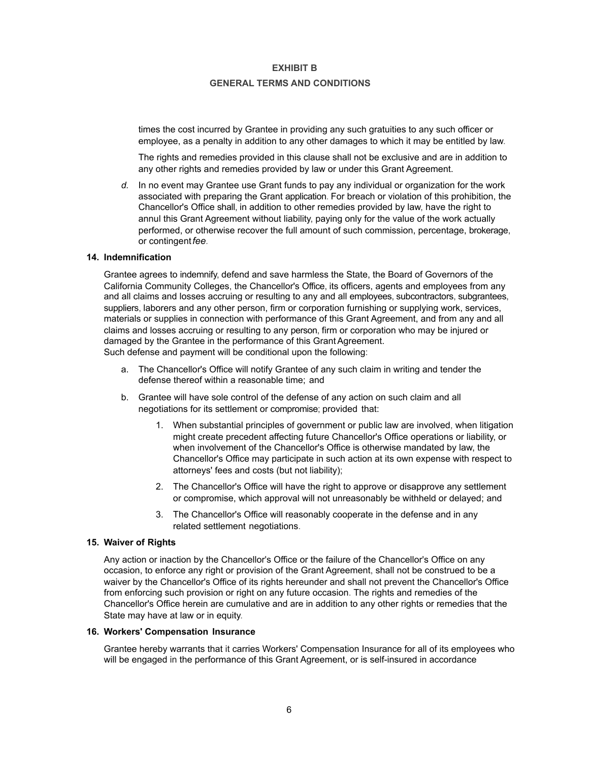#### **GENERAL TERMS AND CONDITIONS**

times the cost incurred by Grantee in providing any such gratuities to any such officer or employee, as a penalty in addition to any other damages to which it may be entitled by law.

The rights and remedies provided in this clause shall not be exclusive and are in addition to any other rights and remedies provided by law or under this Grant Agreement.

*d.* In no event may Grantee use Grant funds to pay any individual or organization for the work associated with preparing the Grant application. For breach or violation of this prohibition, the Chancellor's Office shall, in addition to other remedies provided by law, have the right to annul this Grant Agreement without liability, paying only for the value of the work actually performed, or otherwise recover the full amount of such commission, percentage, brokerage, or contingent*fee.*

#### **14. Indemnification**

Grantee agrees to indemnify, defend and save harmless the State, the Board of Governors of the California Community Colleges, the Chancellor's Office, its officers, agents and employees from any and all claims and losses accruing or resulting to any and all employees, subcontractors, subgrantees, suppliers, laborers and any other person, firm or corporation furnishing or supplying work, services, materials or supplies in connection with performance of this Grant Agreement, and from any and all claims and losses accruing or resulting to any person, firm or corporation who may be injured or damaged by the Grantee in the performance of this Grant Agreement.

Such defense and payment will be conditional upon the following:

- a. The Chancellor's Office will notify Grantee of any such claim in writing and tender the defense thereof within a reasonable time; and
- b. Grantee will have sole control of the defense of any action on such claim and all negotiations for its settlement or compromise; provided that:
	- 1. When substantial principles of government or public law are involved, when litigation might create precedent affecting future Chancellor's Office operations or liability, or when involvement of the Chancellor's Office is otherwise mandated by law, the Chancellor's Office may participate in such action at its own expense with respect to attorneys' fees and costs (but not liability);
	- 2. The Chancellor's Office will have the right to approve or disapprove any settlement or compromise, which approval will not unreasonably be withheld or delayed; and
	- 3. The Chancellor's Office will reasonably cooperate in the defense and in any related settlement negotiations.

#### **15. Waiver of Rights**

Any action or inaction by the Chancellor's Office or the failure of the Chancellor's Office on any occasion, to enforce any right or provision of the Grant Agreement, shall not be construed to be a waiver by the Chancellor's Office of its rights hereunder and shall not prevent the Chancellor's Office from enforcing such provision or right on any future occasion. The rights and remedies of the Chancellor's Office herein are cumulative and are in addition to any other rights or remedies that the State may have at law or in equity.

#### **16. Workers' Compensation Insurance**

Grantee hereby warrants that it carries Workers' Compensation Insurance for all of its employees who will be engaged in the performance of this Grant Agreement, or is self-insured in accordance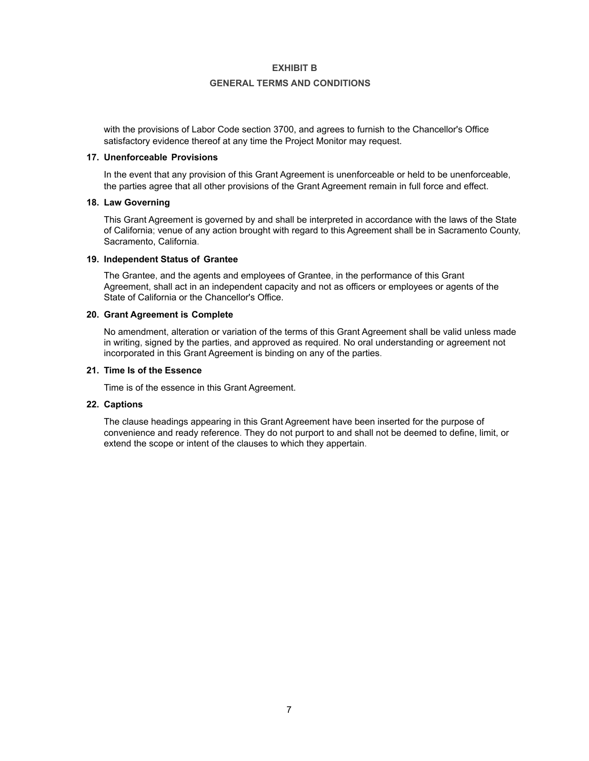### **GENERAL TERMS AND CONDITIONS**

with the provisions of Labor Code section 3700, and agrees to furnish to the Chancellor's Office satisfactory evidence thereof at any time the Project Monitor may request.

#### **17. Unenforceable Provisions**

In the event that any provision of this Grant Agreement is unenforceable or held to be unenforceable, the parties agree that all other provisions of the Grant Agreement remain in full force and effect.

#### **18. Law Governing**

This Grant Agreement is governed by and shall be interpreted in accordance with the laws of the State of California; venue of any action brought with regard to this Agreement shall be in Sacramento County, Sacramento, California.

#### **19. Independent Status of Grantee**

The Grantee, and the agents and employees of Grantee, in the performance of this Grant Agreement, shall act in an independent capacity and not as officers or employees or agents of the State of California or the Chancellor's Office.

#### **20. Grant Agreement is Complete**

No amendment, alteration or variation of the terms of this Grant Agreement shall be valid unless made in writing, signed by the parties, and approved as required. No oral understanding or agreement not incorporated in this Grant Agreement is binding on any of the parties.

## **21. Time Is of the Essence**

Time is of the essence in this Grant Agreement.

## **22. Captions**

The clause headings appearing in this Grant Agreement have been inserted for the purpose of convenience and ready reference. They do not purport to and shall not be deemed to define, limit, or extend the scope or intent of the clauses to which they appertain.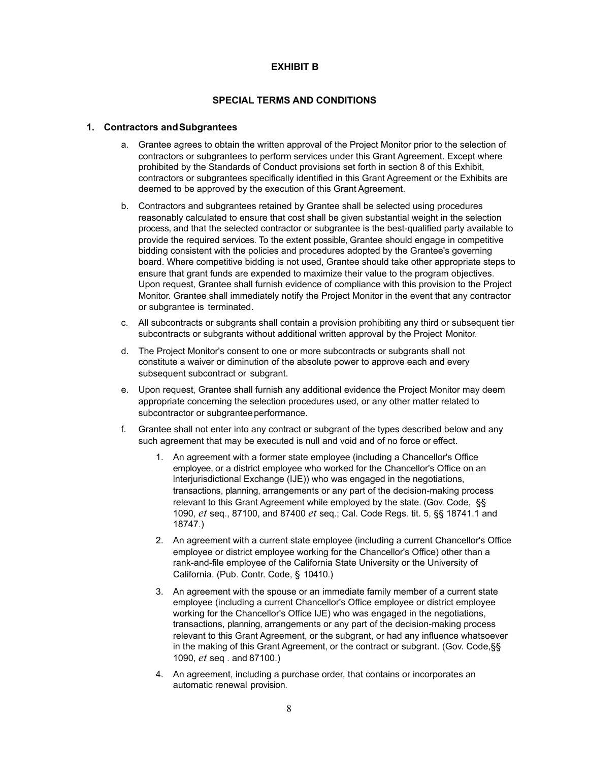# **SPECIAL TERMS AND CONDITIONS**

## **1. Contractors andSubgrantees**

- a. Grantee agrees to obtain the written approval of the Project Monitor prior to the selection of contractors or subgrantees to perform services under this Grant Agreement. Except where prohibited by the Standards of Conduct provisions set forth in section 8 of this Exhibit, contractors or subgrantees specifically identified in this Grant Agreement or the Exhibits are deemed to be approved by the execution of this Grant Agreement.
- b. Contractors and subgrantees retained by Grantee shall be selected using procedures reasonably calculated to ensure that cost shall be given substantial weight in the selection process, and that the selected contractor or subgrantee is the best-qualified party available to provide the required services. To the extent possible, Grantee should engage in competitive bidding consistent with the policies and procedures adopted by the Grantee's governing board. Where competitive bidding is not used, Grantee should take other appropriate steps to ensure that grant funds are expended to maximize their value to the program objectives. Upon request, Grantee shall furnish evidence of compliance with this provision to the Project Monitor. Grantee shall immediately notify the Project Monitor in the event that any contractor or subgrantee is terminated.
- c. All subcontracts or subgrants shall contain a provision prohibiting any third or subsequent tier subcontracts or subgrants without additional written approval by the Project Monitor.
- d. The Project Monitor's consent to one or more subcontracts or subgrants shall not constitute a waiver or diminution of the absolute power to approve each and every subsequent subcontract or subgrant.
- e. Upon request, Grantee shall furnish any additional evidence the Project Monitor may deem appropriate concerning the selection procedures used, or any other matter related to subcontractor or subgrantee performance.
- f. Grantee shall not enter into any contract or subgrant of the types described below and any such agreement that may be executed is null and void and of no force or effect.
	- 1. An agreement with a former state employee (including a Chancellor's Office employee, or a district employee who worked for the Chancellor's Office on an lnterjurisdictional Exchange (IJE)) who was engaged in the negotiations, transactions, planning, arrangements or any part of the decision-making process relevant to this Grant Agreement while employed by the state. (Gov. Code, §§ 1090, *et* seq., 87100, and 87400 *et* seq.; Cal. Code Regs. tit. 5, §§ 18741.1 and 18747.)
	- 2. An agreement with a current state employee (including a current Chancellor's Office employee or district employee working for the Chancellor's Office) other than a rank-and-file employee of the California State University or the University of California. (Pub. Contr. Code, § 10410.)
	- 3. An agreement with the spouse or an immediate family member of a current state employee (including a current Chancellor's Office employee or district employee working for the Chancellor's Office IJE) who was engaged in the negotiations, transactions, planning, arrangements or any part of the decision-making process relevant to this Grant Agreement, or the subgrant, or had any influence whatsoever in the making of this Grant Agreement, or the contract or subgrant. (Gov. Code,§§ 1090, *et* seq . and 87100.)
	- 4. An agreement, including a purchase order, that contains or incorporates an automatic renewal provision.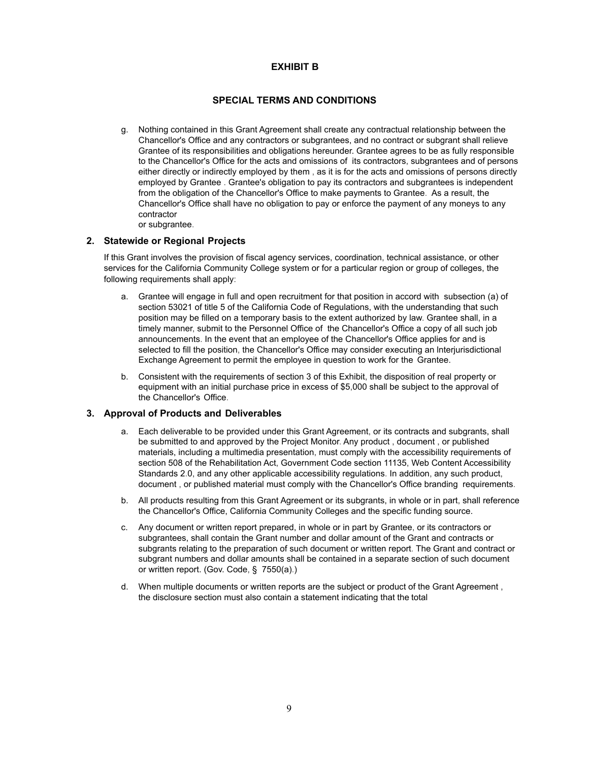# **SPECIAL TERMS AND CONDITIONS**

- g. Nothing contained in this Grant Agreement shall create any contractual relationship between the Chancellor's Office and any contractors or subgrantees, and no contract or subgrant shall relieve Grantee of its responsibilities and obligations hereunder. Grantee agrees to be as fully responsible to the Chancellor's Office for the acts and omissions of its contractors, subgrantees and of persons either directly or indirectly employed by them , as it is for the acts and omissions of persons directly employed by Grantee . Grantee's obligation to pay its contractors and subgrantees is independent from the obligation of the Chancellor's Office to make payments to Grantee. As a result, the Chancellor's Office shall have no obligation to pay or enforce the payment of any moneys to any contractor
	- or subgrantee.

# **2. Statewide or Regional Projects**

If this Grant involves the provision of fiscal agency services, coordination, technical assistance, or other services for the California Community College system or for a particular region or group of colleges, the following requirements shall apply:

- a. Grantee will engage in full and open recruitment for that position in accord with subsection (a) of section 53021 of title 5 of the California Code of Regulations, with the understanding that such position may be filled on a temporary basis to the extent authorized by law. Grantee shall, in a timely manner, submit to the Personnel Office of the Chancellor's Office a copy of all such job announcements. In the event that an employee of the Chancellor's Office applies for and is selected to fill the position, the Chancellor's Office may consider executing an lnterjurisdictional Exchange Agreement to permit the employee in question to work for the Grantee.
- b. Consistent with the requirements of section 3 of this Exhibit, the disposition of real property or equipment with an initial purchase price in excess of \$5,000 shall be subject to the approval of the Chancellor's Office.

## **3. Approval of Products and Deliverables**

- a. Each deliverable to be provided under this Grant Agreement, or its contracts and subgrants, shall be submitted to and approved by the Project Monitor. Any product , document , or published materials, including a multimedia presentation, must comply with the accessibility requirements of section 508 of the Rehabilitation Act, Government Code section 11135, Web Content Accessibility Standards 2.0, and any other applicable accessibility regulations. In addition, any such product, document , or published material must comply with the Chancellor's Office branding requirements.
- b. All products resulting from this Grant Agreement or its subgrants, in whole or in part, shall reference the Chancellor's Office, California Community Colleges and the specific funding source.
- c. Any document or written report prepared, in whole or in part by Grantee, or its contractors or subgrantees, shall contain the Grant number and dollar amount of the Grant and contracts or subgrants relating to the preparation of such document or written report. The Grant and contract or subgrant numbers and dollar amounts shall be contained in a separate section of such document or written report. (Gov. Code, § 7550(a).)
- d. When multiple documents or written reports are the subject or product of the Grant Agreement , the disclosure section must also contain a statement indicating that the total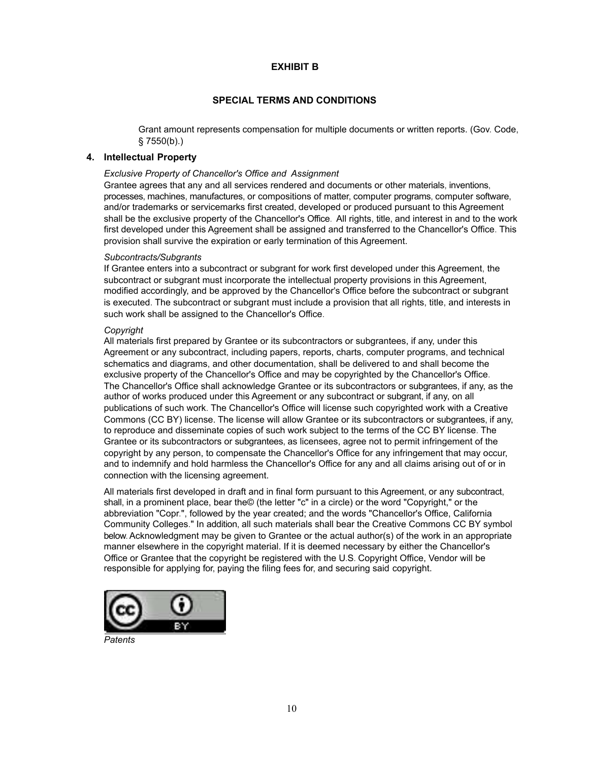# **SPECIAL TERMS AND CONDITIONS**

Grant amount represents compensation for multiple documents or written reports. (Gov. Code, § 7550(b).)

## **4. Intellectual Property**

## *Exclusive Property of Chancellor's Office and Assignment*

Grantee agrees that any and all services rendered and documents or other materials, inventions, processes, machines, manufactures, or compositions of matter, computer programs, computer software, and/or trademarks or servicemarks first created, developed or produced pursuant to this Agreement shall be the exclusive property of the Chancellor's Office. All rights, title, and interest in and to the work first developed under this Agreement shall be assigned and transferred to the Chancellor's Office. This provision shall survive the expiration or early termination of this Agreement.

## *Subcontracts/Subgrants*

If Grantee enters into a subcontract or subgrant for work first developed under this Agreement, the subcontract or subgrant must incorporate the intellectual property provisions in this Agreement, modified accordingly, and be approved by the Chancellor's Office before the subcontract or subgrant is executed. The subcontract or subgrant must include a provision that all rights, title, and interests in such work shall be assigned to the Chancellor's Office.

#### *Copyright*

All materials first prepared by Grantee or its subcontractors or subgrantees, if any, under this Agreement or any subcontract, including papers, reports, charts, computer programs, and technical schematics and diagrams, and other documentation, shall be delivered to and shall become the exclusive property of the Chancellor's Office and may be copyrighted by the Chancellor's Office. The Chancellor's Office shall acknowledge Grantee or its subcontractors or subgrantees, if any, as the author of works produced under this Agreement or any subcontract or subgrant, if any, on all publications of such work. The Chancellor's Office will license such copyrighted work with a Creative Commons (CC BY) license. The license will allow Grantee or its subcontractors or subgrantees, if any, to reproduce and disseminate copies of such work subject to the terms of the CC BY license. The Grantee or its subcontractors or subgrantees, as licensees, agree not to permit infringement of the copyright by any person, to compensate the Chancellor's Office for any infringement that may occur, and to indemnify and hold harmless the Chancellor's Office for any and all claims arising out of or in connection with the licensing agreement.

All materials first developed in draft and in final form pursuant to this Agreement, or any subcontract, shall, in a prominent place, bear the© (the letter "c" in a circle) or the word "Copyright," or the abbreviation "Copr.", followed by the year created; and the words "Chancellor's Office, California Community Colleges." In addition, all such materials shall bear the Creative Commons CC BY symbol below. Acknowledgment may be given to Grantee or the actual author(s) of the work in an appropriate manner elsewhere in the copyright material. If it is deemed necessary by either the Chancellor's Office or Grantee that the copyright be registered with the U.S. Copyright Office, Vendor will be responsible for applying for, paying the filing fees for, and securing said copyright.



*Patents*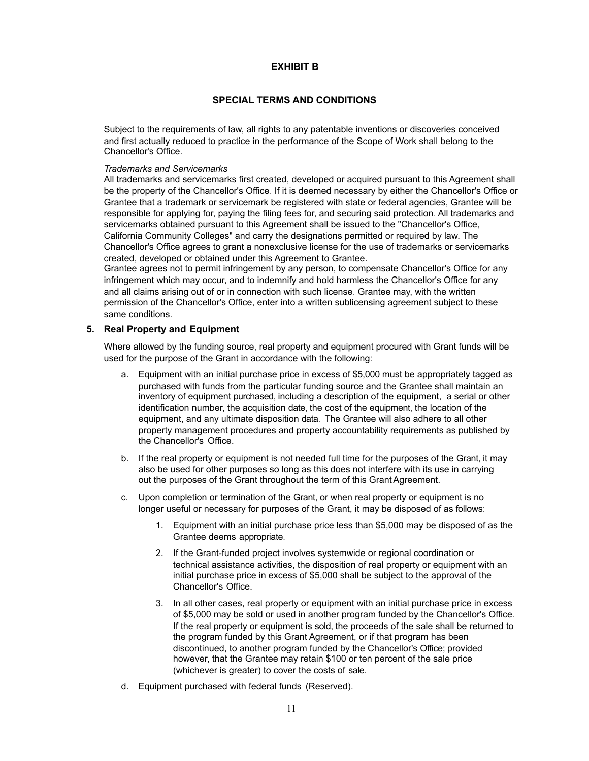# **SPECIAL TERMS AND CONDITIONS**

Subject to the requirements of law, all rights to any patentable inventions or discoveries conceived and first actually reduced to practice in the performance of the Scope of Work shall belong to the Chancellor's Office.

## *Trademarks and Servicemarks*

All trademarks and servicemarks first created, developed or acquired pursuant to this Agreement shall be the property of the Chancellor's Office. If it is deemed necessary by either the Chancellor's Office or Grantee that a trademark or servicemark be registered with state or federal agencies, Grantee will be responsible for applying for, paying the filing fees for, and securing said protection. All trademarks and servicemarks obtained pursuant to this Agreement shall be issued to the "Chancellor's Office, California Community Colleges" and carry the designations permitted or required by law. The Chancellor's Office agrees to grant a nonexclusive license for the use of trademarks or servicemarks created, developed or obtained under this Agreement to Grantee.

Grantee agrees not to permit infringement by any person, to compensate Chancellor's Office for any infringement which may occur, and to indemnify and hold harmless the Chancellor's Office for any and all claims arising out of or in connection with such license. Grantee may, with the written permission of the Chancellor's Office, enter into a written sublicensing agreement subject to these same conditions.

## **5. Real Property and Equipment**

Where allowed by the funding source, real property and equipment procured with Grant funds will be used for the purpose of the Grant in accordance with the following:

- a. Equipment with an initial purchase price in excess of \$5,000 must be appropriately tagged as purchased with funds from the particular funding source and the Grantee shall maintain an inventory of equipment purchased, including a description of the equipment, a serial or other identification number, the acquisition date, the cost of the equipment, the location of the equipment, and any ultimate disposition data. The Grantee will also adhere to all other property management procedures and property accountability requirements as published by the Chancellor's Office.
- b. If the real property or equipment is not needed full time for the purposes of the Grant, it may also be used for other purposes so long as this does not interfere with its use in carrying out the purposes of the Grant throughout the term of this Grant Agreement.
- c. Upon completion or termination of the Grant, or when real property or equipment is no longer useful or necessary for purposes of the Grant, it may be disposed of as follows:
	- 1. Equipment with an initial purchase price less than \$5,000 may be disposed of as the Grantee deems appropriate.
	- 2. If the Grant-funded project involves systemwide or regional coordination or technical assistance activities, the disposition of real property or equipment with an initial purchase price in excess of \$5,000 shall be subject to the approval of the Chancellor's Office.
	- 3. In all other cases, real property or equipment with an initial purchase price in excess of \$5,000 may be sold or used in another program funded by the Chancellor's Office. If the real property or equipment is sold, the proceeds of the sale shall be returned to the program funded by this Grant Agreement, or if that program has been discontinued, to another program funded by the Chancellor's Office; provided however, that the Grantee may retain \$100 or ten percent of the sale price (whichever is greater) to cover the costs of sale.
- d. Equipment purchased with federal funds (Reserved).